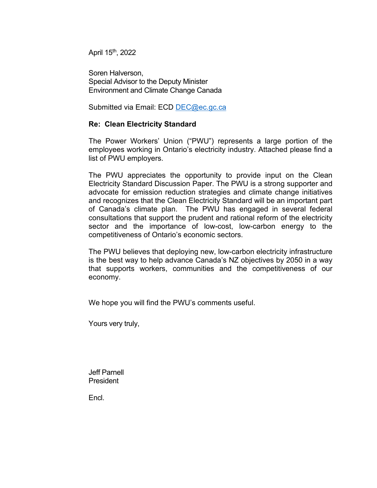April 15th, 2022

Soren Halverson, Special Advisor to the Deputy Minister Environment and Climate Change Canada

Submitted via Email: ECD [DEC@ec.gc.ca](mailto:DEC@ec.gc.ca)

# **Re: Clean Electricity Standard**

The Power Workers' Union ("PWU") represents a large portion of the employees working in Ontario's electricity industry. Attached please find a list of PWU employers.

The PWU appreciates the opportunity to provide input on the Clean Electricity Standard Discussion Paper. The PWU is a strong supporter and advocate for emission reduction strategies and climate change initiatives and recognizes that the Clean Electricity Standard will be an important part of Canada's climate plan. The PWU has engaged in several federal consultations that support the prudent and rational reform of the electricity sector and the importance of low-cost, low-carbon energy to the competitiveness of Ontario's economic sectors.

The PWU believes that deploying new, low-carbon electricity infrastructure is the best way to help advance Canada's NZ objectives by 2050 in a way that supports workers, communities and the competitiveness of our economy.

We hope you will find the PWU's comments useful.

Yours very truly,

Jeff Parnell President

Encl.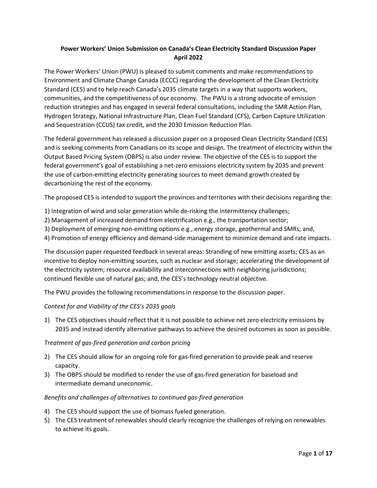# **Power Workers' Union Submission on Canada's Clean Electricity Standard Discussion Paper April 2022**

The Power Workers' Union (PWU) is pleased to submit comments and make recommendations to Environment and Climate Change Canada (ECCC) regarding the development of the Clean Electricity Standard (CES) and to help reach Canada's 2035 climate targets in a way that supports workers, communities, and the competitiveness of our economy. The PWU is a strong advocate of emission reduction strategies and has engaged in several federal consultations, including the SMR Action Plan, Hydrogen Strategy, National Infrastructure Plan, Clean Fuel Standard (CFS), Carbon Capture Utilization and Sequestration (CCUS) tax credit, and the 2030 Emission Reduction Plan.

The federal government has released a discussion paper on a proposed Clean Electricity Standard (CES) and is seeking comments from Canadians on its scope and design. The treatment of electricity within the Output Based Pricing System (OBPS) is also under review. The objective of the CES is to support the federal government's goal of establishing a net-zero emissions electricity system by 2035 and prevent the use of carbon-emitting electricity generating sources to meet demand growth created by decarbonizing the rest of the economy.

The proposed CES is intended to support the provinces and territories with their decisions regarding the:

- 1) Integration of wind and solar generation while de-risking the intermittency challenges;
- 2) Management of increased demand from electrification e.g., the transportation sector;
- 3) Deployment of emerging non-emitting options e.g., energy storage, geothermal and SMRs; and,
- 4) Promotion of energy efficiency and demand-side management to minimize demand and rate impacts.

The discussion paper requested feedback in several areas: Stranding of new emitting assets; CES as an incentive to deploy non-emitting sources, such as nuclear and storage; accelerating the development of the electricity system; resource availability and interconnections with neighboring jurisdictions; continued flexible use of natural gas; and, the CES's technology neutral objective.

The PWU provides the following recommendations in response to the discussion paper.

#### *Context for and Viability of the CES's 2035 goals*

1) The CES objectives should reflect that it is not possible to achieve net zero electricity emissions by 2035 and instead identify alternative pathways to achieve the desired outcomes as soon as possible.

#### *Treatment of gas-fired generation and carbon pricing*

- 2) The CES should allow for an ongoing role for gas-fired generation to provide peak and reserve capacity.
- 3) The OBPS should be modified to render the use of gas-fired generation for baseload and intermediate demand uneconomic.

#### *Benefits and challenges of alternatives to continued gas-fired generation*

- 4) The CES should support the use of biomass fueled generation.
- 5) The CES treatment of renewables should clearly recognize the challenges of relying on renewables to achieve its goals.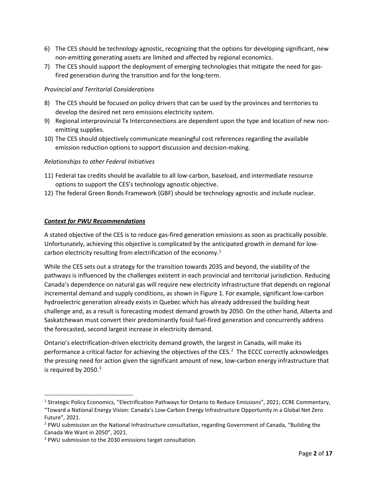- 6) The CES should be technology agnostic, recognizing that the options for developing significant, new non-emitting generating assets are limited and affected by regional economics.
- 7) The CES should support the deployment of emerging technologies that mitigate the need for gasfired generation during the transition and for the long-term.

### *Provincial and Territorial Considerations*

- 8) The CES should be focused on policy drivers that can be used by the provinces and territories to develop the desired net zero emissions electricity system.
- 9) Regional interprovincial Tx Interconnections are dependent upon the type and location of new nonemitting supplies.
- 10) The CES should objectively communicate meaningful cost references regarding the available emission reduction options to support discussion and decision-making.

### *Relationships to other Federal Initiatives*

- 11) Federal tax credits should be available to all low-carbon, baseload, and intermediate resource options to support the CES's technology agnostic objective.
- 12) The federal Green Bonds Framework (GBF) should be technology agnostic and include nuclear.

### *Context for PWU Recommendations*

A stated objective of the CES is to reduce gas-fired generation emissions as soon as practically possible. Unfortunately, achieving this objective is complicated by the anticipated growth in demand for low-carbon electricity resulting from electrification of the economy.<sup>[1](#page-2-0)</sup>

While the CES sets out a strategy for the transition towards 2035 and beyond, the viability of the pathways is influenced by the challenges existent in each provincial and territorial jurisdiction. Reducing Canada's dependence on natural gas will require new electricity infrastructure that depends on regional incremental demand and supply conditions, as shown in Figure 1. For example, significant low-carbon hydroelectric generation already exists in Quebec which has already addressed the building heat challenge and, as a result is forecasting modest demand growth by 2050. On the other hand, Alberta and Saskatchewan must convert their predominantly fossil fuel-fired generation and concurrently address the forecasted, second largest increase in electricity demand.

Ontario's electrification-driven electricity demand growth, the largest in Canada, will make its performance a critical factor for achieving the objectives of the CES. [2](#page-2-1) The ECCC correctly acknowledges the pressing need for action given the significant amount of new, low-carbon energy infrastructure that is required by  $2050.<sup>3</sup>$  $2050.<sup>3</sup>$  $2050.<sup>3</sup>$ 

<span id="page-2-0"></span><sup>1</sup> Strategic Policy Economics, "Electrification Pathways for Ontario to Reduce Emissions", 2021; CCRE Commentary, "Toward a National Energy Vision: Canada's Low-Carbon Energy Infrastructure Opportunity in a Global Net Zero Future", 2021.

<span id="page-2-1"></span><sup>&</sup>lt;sup>2</sup> PWU submission on the National Infrastructure consultation, regarding Government of Canada, "Building the Canada We Want in 2050", 2021.

<span id="page-2-2"></span><sup>3</sup> PWU submission to the 2030 emissions target consultation.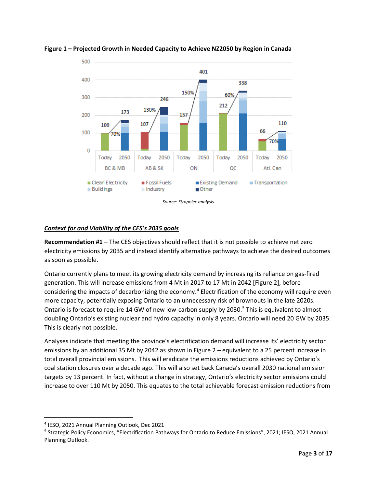

### **Figure 1 – Projected Growth in Needed Capacity to Achieve NZ2050 by Region in Canada**

# *Context for and Viability of the CES's 2035 goals*

**Recommendation #1 –** The CES objectives should reflect that it is not possible to achieve net zero electricity emissions by 2035 and instead identify alternative pathways to achieve the desired outcomes as soon as possible.

Ontario currently plans to meet its growing electricity demand by increasing its reliance on gas-fired generation. This will increase emissions from 4 Mt in 2017 to 17 Mt in 2042 [Figure 2], before considering the impacts of decarbonizing the economy.<sup>[4](#page-3-0)</sup> Electrification of the economy will require even more capacity, potentially exposing Ontario to an unnecessary risk of brownouts in the late 2020s. Ontario is forecast to require 14 GW of new low-carbon supply by 2030.<sup>[5](#page-3-1)</sup> This is equivalent to almost doubling Ontario's existing nuclear and hydro capacity in only 8 years. Ontario will need 20 GW by 2035. This is clearly not possible.

Analyses indicate that meeting the province's electrification demand will increase its' electricity sector emissions by an additional 35 Mt by 2042 as shown in Figure 2 – equivalent to a 25 percent increase in total overall provincial emissions. This will eradicate the emissions reductions achieved by Ontario's coal station closures over a decade ago. This will also set back Canada's overall 2030 national emission targets by 13 percent. In fact, without a change in strategy, Ontario's electricity sector emissions could increase to over 110 Mt by 2050. This equates to the total achievable forecast emission reductions from

<span id="page-3-0"></span><sup>4</sup> IESO, 2021 Annual Planning Outlook, Dec 2021

<span id="page-3-1"></span><sup>5</sup> Strategic Policy Economics, "Electrification Pathways for Ontario to Reduce Emissions", 2021; IESO, 2021 Annual Planning Outlook.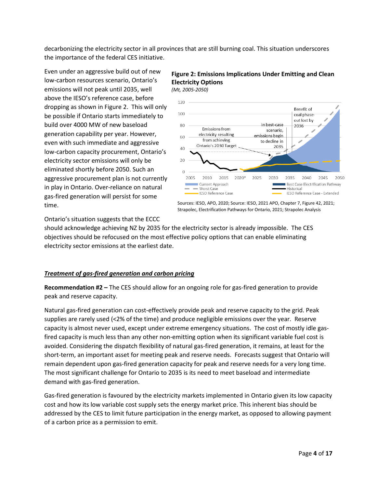decarbonizing the electricity sector in all provinces that are still burning coal. This situation underscores the importance of the federal CES initiative.

Even under an aggressive build out of new low-carbon resources scenario, Ontario's emissions will not peak until 2035, well above the IESO's reference case, before dropping as shown in Figure 2. This will only be possible if Ontario starts immediately to build over 4000 MW of new baseload generation capability per year. However, even with such immediate and aggressive low-carbon capacity procurement, Ontario's electricity sector emissions will only be eliminated shortly before 2050. Such an aggressive procurement plan is not currently in play in Ontario. Over-reliance on natural gas-fired generation will persist for some time.

#### **Figure 2: Emissions Implications Under Emitting and Clean Electricity Options** *(Mt, 2005-2050)*



Sources: IESO, APO, 2020; Source: IESO, 2021 APO, Chapter 7, Figure 42, 2021; Strapolec, Electrification Pathways for Ontario, 2021; Strapolec Analysis

Ontario's situation suggests that the ECCC

should acknowledge achieving NZ by 2035 for the electricity sector is already impossible. The CES objectives should be refocused on the most effective policy options that can enable eliminating electricity sector emissions at the earliest date.

#### *Treatment of gas-fired generation and carbon pricing*

**Recommendation #2 –** The CES should allow for an ongoing role for gas-fired generation to provide peak and reserve capacity.

Natural gas-fired generation can cost-effectively provide peak and reserve capacity to the grid. Peak supplies are rarely used (<2% of the time) and produce negligible emissions over the year. Reserve capacity is almost never used, except under extreme emergency situations. The cost of mostly idle gasfired capacity is much less than any other non-emitting option when its significant variable fuel cost is avoided. Considering the dispatch flexibility of natural gas-fired generation, it remains, at least for the short-term, an important asset for meeting peak and reserve needs. Forecasts suggest that Ontario will remain dependent upon gas-fired generation capacity for peak and reserve needs for a very long time. The most significant challenge for Ontario to 2035 is its need to meet baseload and intermediate demand with gas-fired generation.

Gas-fired generation is favoured by the electricity markets implemented in Ontario given its low capacity cost and how its low variable cost supply sets the energy market price. This inherent bias should be addressed by the CES to limit future participation in the energy market, as opposed to allowing payment of a carbon price as a permission to emit.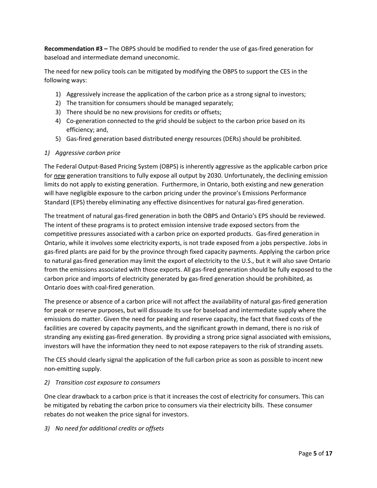**Recommendation #3 –** The OBPS should be modified to render the use of gas-fired generation for baseload and intermediate demand uneconomic.

The need for new policy tools can be mitigated by modifying the OBPS to support the CES in the following ways:

- 1) Aggressively increase the application of the carbon price as a strong signal to investors;
- 2) The transition for consumers should be managed separately;
- 3) There should be no new provisions for credits or offsets;
- 4) Co-generation connected to the grid should be subject to the carbon price based on its efficiency; and,
- 5) Gas-fired generation based distributed energy resources (DERs) should be prohibited.

## *1) Aggressive carbon price*

The Federal Output-Based Pricing System (OBPS) is inherently aggressive as the applicable carbon price for *new* generation transitions to fully expose all output by 2030. Unfortunately, the declining emission limits do not apply to existing generation. Furthermore, in Ontario, both existing and new generation will have negligible exposure to the carbon pricing under the province's Emissions Performance Standard (EPS) thereby eliminating any effective disincentives for natural gas-fired generation.

The treatment of natural gas-fired generation in both the OBPS and Ontario's EPS should be reviewed. The intent of these programs is to protect emission intensive trade exposed sectors from the competitive pressures associated with a carbon price on exported products. Gas-fired generation in Ontario, while it involves some electricity exports, is not trade exposed from a jobs perspective. Jobs in gas-fired plants are paid for by the province through fixed capacity payments. Applying the carbon price to natural gas-fired generation may limit the export of electricity to the U.S., but it will also save Ontario from the emissions associated with those exports. All gas-fired generation should be fully exposed to the carbon price and imports of electricity generated by gas-fired generation should be prohibited, as Ontario does with coal-fired generation.

The presence or absence of a carbon price will not affect the availability of natural gas-fired generation for peak or reserve purposes, but will dissuade its use for baseload and intermediate supply where the emissions do matter. Given the need for peaking and reserve capacity, the fact that fixed costs of the facilities are covered by capacity payments, and the significant growth in demand, there is no risk of stranding any existing gas-fired generation. By providing a strong price signal associated with emissions, investors will have the information they need to not expose ratepayers to the risk of stranding assets.

The CES should clearly signal the application of the full carbon price as soon as possible to incent new non-emitting supply.

## *2) Transition cost exposure to consumers*

One clear drawback to a carbon price is that it increases the cost of electricity for consumers. This can be mitigated by rebating the carbon price to consumers via their electricity bills. These consumer rebates do not weaken the price signal for investors.

## *3) No need for additional credits or offsets*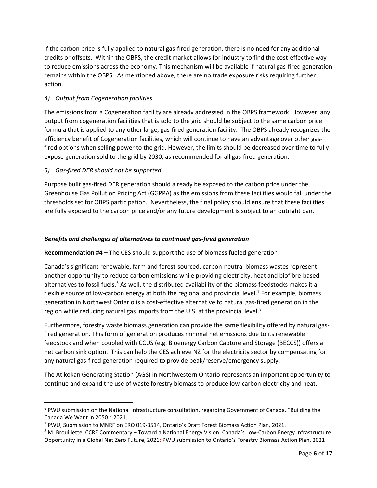If the carbon price is fully applied to natural gas-fired generation, there is no need for any additional credits or offsets. Within the OBPS, the credit market allows for industry to find the cost-effective way to reduce emissions across the economy. This mechanism will be available if natural gas-fired generation remains within the OBPS. As mentioned above, there are no trade exposure risks requiring further action.

# *4) Output from Cogeneration facilities*

The emissions from a Cogeneration facility are already addressed in the OBPS framework. However, any output from cogeneration facilities that is sold to the grid should be subject to the same carbon price formula that is applied to any other large, gas-fired generation facility. The OBPS already recognizes the efficiency benefit of Cogeneration facilities, which will continue to have an advantage over other gasfired options when selling power to the grid. However, the limits should be decreased over time to fully expose generation sold to the grid by 2030, as recommended for all gas-fired generation.

## *5) Gas-fired DER should not be supported*

Purpose built gas-fired DER generation should already be exposed to the carbon price under the Greenhouse Gas Pollution Pricing Act (GGPPA) as the emissions from these facilities would fall under the thresholds set for OBPS participation. Nevertheless, the final policy should ensure that these facilities are fully exposed to the carbon price and/or any future development is subject to an outright ban.

### *Benefits and challenges of alternatives to continued gas-fired generation*

#### **Recommendation #4 –** The CES should support the use of biomass fueled generation

Canada's significant renewable, farm and forest-sourced, carbon-neutral biomass wastes represent another opportunity to reduce carbon emissions while providing electricity, heat and biofibre-based alternatives to fossil fuels.<sup>[6](#page-6-0)</sup> As well, the distributed availability of the biomass feedstocks makes it a flexible source of low-carbon energy at both the regional and provincial level.<sup>[7](#page-6-1)</sup> For example, biomass generation in Northwest Ontario is a cost-effective alternative to natural gas-fired generation in the region while reducing natural gas imports from the U.S. at the provincial level.<sup>8</sup>

Furthermore, forestry waste biomass generation can provide the same flexibility offered by natural gasfired generation. This form of generation produces minimal net emissions due to its renewable feedstock and when coupled with CCUS (e.g. Bioenergy Carbon Capture and Storage (BECCS)) offers a net carbon sink option. This can help the CES achieve NZ for the electricity sector by compensating for any natural gas-fired generation required to provide peak/reserve/emergency supply.

The Atikokan Generating Station (AGS) in Northwestern Ontario represents an important opportunity to continue and expand the use of waste forestry biomass to produce low-carbon electricity and heat.

<span id="page-6-0"></span><sup>&</sup>lt;sup>6</sup> PWU submission on the National Infrastructure consultation, regarding Government of Canada. "Building the Canada We Want in 2050." 2021.

<span id="page-6-1"></span><sup>7</sup> PWU, Submission to MNRF on ERO 019-3514, Ontario's Draft Forest Biomass Action Plan, 2021.

<span id="page-6-2"></span><sup>8</sup> M. Brouillette, CCRE Commentary – Toward a National Energy Vision: Canada's Low-Carbon Energy Infrastructure Opportunity in a Global Net Zero Future, 2021; PWU submission to Ontario's Forestry Biomass Action Plan, 2021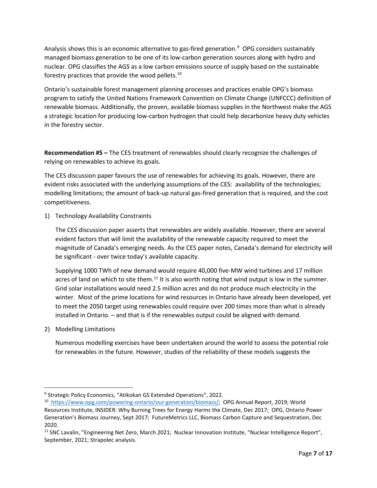Analysis shows this is an economic alternative to gas-fired generation.<sup>[9](#page-7-0)</sup> OPG considers sustainably managed biomass generation to be one of its low-carbon generation sources along with hydro and nuclear. OPG classifies the AGS as a low carbon emissions source of supply based on the sustainable forestry practices that provide the wood pellets.[10](#page-7-1)

Ontario's sustainable forest management planning processes and practices enable OPG's biomass program to satisfy the United Nations Framework Convention on Climate Change (UNFCCC) definition of renewable biomass. Additionally, the proven, available biomass supplies in the Northwest make the AGS a strategic location for producing low-carbon hydrogen that could help decarbonize heavy duty vehicles in the forestry sector.

**Recommendation #5 –** The CES treatment of renewables should clearly recognize the challenges of relying on renewables to achieve its goals.

The CES discussion paper favours the use of renewables for achieving its goals. However, there are evident risks associated with the underlying assumptions of the CES: availability of the technologies; modelling limitations; the amount of back-up natural gas-fired generation that is required, and the cost competitiveness.

1) Technology Availability Constraints

The CES discussion paper asserts that renewables are widely available. However, there are several evident factors that will limit the availability of the renewable capacity required to meet the magnitude of Canada's emerging needs. As the CES paper notes, Canada's demand for electricity will be significant - over twice today's available capacity.

Supplying 1000 TWh of new demand would require 40,000 five-MW wind turbines and 17 million acres of land on which to site them.<sup>[11](#page-7-2)</sup> It is also worth noting that wind output is low in the summer. Grid solar installations would need 2.5 million acres and do not produce much electricity in the winter. Most of the prime locations for wind resources in Ontario have already been developed, yet to meet the 2050 target using renewables could require over 200 times more than what is already installed in Ontario. – and that is if the renewables output could be aligned with demand.

2) Modelling Limitations

Numerous modelling exercises have been undertaken around the world to assess the potential role for renewables in the future. However, studies of the reliability of these models suggests the

<span id="page-7-1"></span><span id="page-7-0"></span><sup>&</sup>lt;sup>9</sup> Strategic Policy Economics, "Atikokan GS Extended Operations", 2022.<br><sup>10</sup> [https://www.opg.com/powering-ontario/our-generation/biomass/;](https://www.opg.com/powering-ontario/our-generation/biomass/) OPG Annual Report, 2019; World Resources Institute, INSIDER: Why Burning Trees for Energy Harms the Climate, Dec 2017; OPG, Ontario Power Generation's Biomass Journey, Sept 2017; FutureMetrics LLC, Biomass Carbon Capture and Sequestration, Dec 2020.

<span id="page-7-2"></span><sup>&</sup>lt;sup>11</sup> SNC Lavalin, "Engineering Net Zero, March 2021; Nuclear Innovation Institute, "Nuclear Intelligence Report", September, 2021; Strapolec analysis.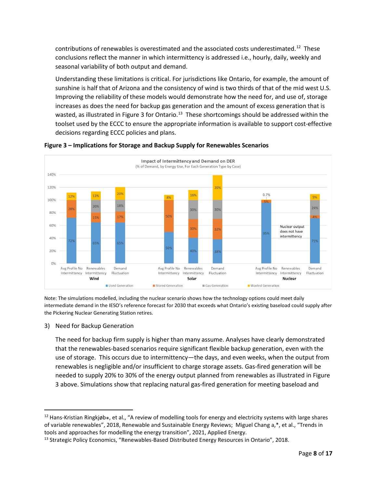contributions of renewables is overestimated and the associated costs underestimated.<sup>12</sup> These conclusions reflect the manner in which intermittency is addressed i.e., hourly, daily, weekly and seasonal variability of both output and demand.

Understanding these limitations is critical. For jurisdictions like Ontario, for example, the amount of sunshine is half that of Arizona and the consistency of wind is two thirds of that of the mid west U.S. Improving the reliability of these models would demonstrate how the need for, and use of, storage increases as does the need for backup gas generation and the amount of excess generation that is wasted, as illustrated in Figure 3 for Ontario.<sup>13</sup> These shortcomings should be addressed within the toolset used by the ECCC to ensure the appropriate information is available to support cost-effective decisions regarding ECCC policies and plans.



#### **Figure 3 – Implications for Storage and Backup Supply for Renewables Scenarios**

Note: The simulations modelled, including the nuclear scenario shows how the technology options could meet daily intermediate demand in the IESO's reference forecast for 2030 that exceeds what Ontario's existing baseload could supply after the Pickering Nuclear Generating Station retires.

3) Need for Backup Generation

The need for backup firm supply is higher than many assume. Analyses have clearly demonstrated that the renewables-based scenarios require significant flexible backup generation, even with the use of storage. This occurs due to intermittency—the days, and even weeks, when the output from renewables is negligible and/or insufficient to charge storage assets. Gas-fired generation will be needed to supply 20% to 30% of the energy output planned from renewables as illustrated in Figure 3 above. Simulations show that replacing natural gas-fired generation for meeting baseload and

<span id="page-8-0"></span><sup>&</sup>lt;sup>12</sup> Hans-Kristian Ringkjøb $*$ , et al., "A review of modelling tools for energy and electricity systems with large shares of variable renewables", 2018, Renewable and Sustainable Energy Reviews; Miguel Chang a,\*, et al., "Trends in tools and approaches for modelling the energy transition", 2021, Applied Energy.

<span id="page-8-1"></span><sup>&</sup>lt;sup>13</sup> Strategic Policy Economics, "Renewables-Based Distributed Energy Resources in Ontario", 2018.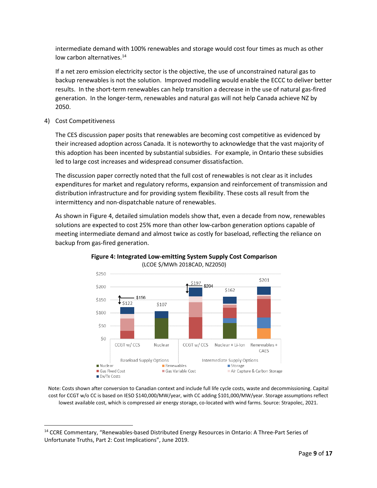intermediate demand with 100% renewables and storage would cost four times as much as other low carbon alternatives.<sup>14</sup>

If a net zero emission electricity sector is the objective, the use of unconstrained natural gas to backup renewables is not the solution. Improved modelling would enable the ECCC to deliver better results. In the short-term renewables can help transition a decrease in the use of natural gas-fired generation. In the longer-term, renewables and natural gas will not help Canada achieve NZ by 2050.

4) Cost Competitiveness

The CES discussion paper posits that renewables are becoming cost competitive as evidenced by their increased adoption across Canada. It is noteworthy to acknowledge that the vast majority of this adoption has been incented by substantial subsidies. For example, in Ontario these subsidies led to large cost increases and widespread consumer dissatisfaction.

The discussion paper correctly noted that the full cost of renewables is not clear as it includes expenditures for market and regulatory reforms, expansion and reinforcement of transmission and distribution infrastructure and for providing system flexibility. These costs all result from the intermittency and non-dispatchable nature of renewables.

As shown in Figure 4, detailed simulation models show that, even a decade from now, renewables solutions are expected to cost 25% more than other low-carbon generation options capable of meeting intermediate demand and almost twice as costly for baseload, reflecting the reliance on backup from gas-fired generation.





Note: Costs shown after conversion to Canadian context and include full life cycle costs, waste and decommissioning. Capital cost for CCGT w/o CC is based on IESO \$140,000/MW/year, with CC adding \$101,000/MW/year. Storage assumptions reflect lowest available cost, which is compressed air energy storage, co-located with wind farms. Source: Strapolec, 2021.

<span id="page-9-0"></span><sup>14</sup> CCRE Commentary, "Renewables-based Distributed Energy Resources in Ontario: A Three-Part Series of Unfortunate Truths, Part 2: Cost Implications", June 2019.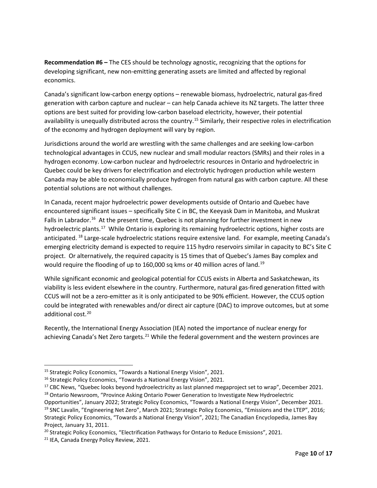**Recommendation #6 –** The CES should be technology agnostic, recognizing that the options for developing significant, new non-emitting generating assets are limited and affected by regional economics.

Canada's significant low-carbon energy options – renewable biomass, hydroelectric, natural gas-fired generation with carbon capture and nuclear – can help Canada achieve its NZ targets. The latter three options are best suited for providing low-carbon baseload electricity, however, their potential availability is unequally distributed across the country.<sup>15</sup> Similarly, their respective roles in electrification of the economy and hydrogen deployment will vary by region.

Jurisdictions around the world are wrestling with the same challenges and are seeking low-carbon technological advantages in CCUS, new nuclear and small modular reactors (SMRs) and their roles in a hydrogen economy. Low-carbon nuclear and hydroelectric resources in Ontario and hydroelectric in Quebec could be key drivers for electrification and electrolytic hydrogen production while western Canada may be able to economically produce hydrogen from natural gas with carbon capture. All these potential solutions are not without challenges.

In Canada, recent major hydroelectric power developments outside of Ontario and Quebec have encountered significant issues – specifically Site C in BC, the Keeyask Dam in Manitoba, and Muskrat Falls in Labrador.<sup>[16](#page-10-1)</sup> At the present time, Quebec is not planning for further investment in new hydroelectric plants.<sup>[17](#page-10-2)</sup> While Ontario is exploring its remaining hydroelectric options, higher costs are anticipated. [18](#page-10-3) Large-scale hydroelectric stations require extensive land. For example, meeting Canada's emerging electricity demand is expected to require 115 hydro reservoirs similar in capacity to BC's Site C project. Or alternatively, the required capacity is 15 times that of Quebec's James Bay complex and would require the flooding of up to 160,000 sq kms or 40 million acres of land.<sup>[19](#page-10-4)</sup>

While significant economic and geological potential for CCUS exists in Alberta and Saskatchewan, its viability is less evident elsewhere in the country. Furthermore, natural gas-fired generation fitted with CCUS will not be a zero-emitter as it is only anticipated to be 90% efficient. However, the CCUS option could be integrated with renewables and/or direct air capture (DAC) to improve outcomes, but at some additional cost.[20](#page-10-5)

Recently, the International Energy Association (IEA) noted the importance of nuclear energy for achieving Canada's Net Zero targets.<sup>[21](#page-10-6)</sup> While the federal government and the western provinces are

<span id="page-10-0"></span><sup>15</sup> Strategic Policy Economics, "Towards a National Energy Vision", 2021.

<span id="page-10-1"></span><sup>&</sup>lt;sup>16</sup> Strategic Policy Economics, "Towards a National Energy Vision", 2021.

<span id="page-10-2"></span> $17$  CBC News, "Quebec looks beyond hydroelectricity as last planned megaproject set to wrap", December 2021. <sup>18</sup> Ontario Newsroom, "Province Asking Ontario Power Generation to Investigate New Hydroelectric

<span id="page-10-4"></span><span id="page-10-3"></span>Opportunities", January 2022; Strategic Policy Economics, "Towards a National Energy Vision", December 2021.<br><sup>19</sup> SNC Lavalin, "Engineering Net Zero", March 2021; Strategic Policy Economics, "Emissions and the LTEP", 2016; Strategic Policy Economics, "Towards a National Energy Vision", 2021; The Canadian Encyclopedia, James Bay Project, January 31, 2011.

<span id="page-10-5"></span><sup>&</sup>lt;sup>20</sup> Strategic Policy Economics, "Electrification Pathways for Ontario to Reduce Emissions", 2021.

<span id="page-10-6"></span><sup>&</sup>lt;sup>21</sup> IEA, Canada Energy Policy Review, 2021.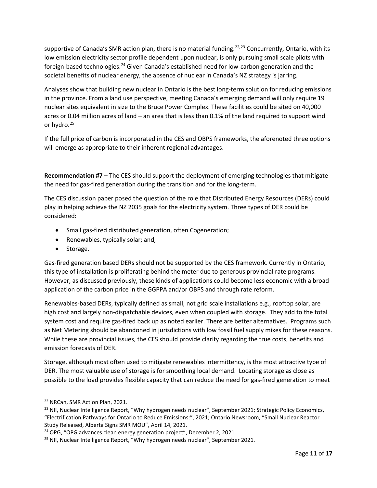supportive of Canada's SMR action plan, there is no material funding.<sup>[22,](#page-11-0)[23](#page-11-1)</sup> Concurrently, Ontario, with its low emission electricity sector profile dependent upon nuclear, is only pursuing small scale pilots with foreign-based technologies.<sup>[24](#page-11-2)</sup> Given Canada's established need for low-carbon generation and the societal benefits of nuclear energy, the absence of nuclear in Canada's NZ strategy is jarring.

Analyses show that building new nuclear in Ontario is the best long-term solution for reducing emissions in the province. From a land use perspective, meeting Canada's emerging demand will only require 19 nuclear sites equivalent in size to the Bruce Power Complex. These facilities could be sited on 40,000 acres or 0.04 million acres of land – an area that is less than 0.1% of the land required to support wind or hydro.<sup>[25](#page-11-3)</sup>

If the full price of carbon is incorporated in the CES and OBPS frameworks, the aforenoted three options will emerge as appropriate to their inherent regional advantages.

**Recommendation #7** – The CES should support the deployment of emerging technologies that mitigate the need for gas-fired generation during the transition and for the long-term.

The CES discussion paper posed the question of the role that Distributed Energy Resources (DERs) could play in helping achieve the NZ 2035 goals for the electricity system. Three types of DER could be considered:

- Small gas-fired distributed generation, often Cogeneration;
- Renewables, typically solar; and,
- Storage.

Gas-fired generation based DERs should not be supported by the CES framework. Currently in Ontario, this type of installation is proliferating behind the meter due to generous provincial rate programs. However, as discussed previously, these kinds of applications could become less economic with a broad application of the carbon price in the GGPPA and/or OBPS and through rate reform.

Renewables-based DERs, typically defined as small, not grid scale installations e.g., rooftop solar, are high cost and largely non-dispatchable devices, even when coupled with storage. They add to the total system cost and require gas-fired back up as noted earlier. There are better alternatives. Programs such as Net Metering should be abandoned in jurisdictions with low fossil fuel supply mixes for these reasons. While these are provincial issues, the CES should provide clarity regarding the true costs, benefits and emission forecasts of DER.

Storage, although most often used to mitigate renewables intermittency, is the most attractive type of DER. The most valuable use of storage is for smoothing local demand. Locating storage as close as possible to the load provides flexible capacity that can reduce the need for gas-fired generation to meet

<span id="page-11-1"></span><span id="page-11-0"></span><sup>&</sup>lt;sup>22</sup> NRCan, SMR Action Plan, 2021.<br><sup>23</sup> NII, Nuclear Intelligence Report, "Why hydrogen needs nuclear", September 2021; Strategic Policy Economics, "Electrification Pathways for Ontario to Reduce Emissions:", 2021; Ontario Newsroom, "Small Nuclear Reactor Study Released, Alberta Signs SMR MOU", April 14, 2021.

<span id="page-11-2"></span><sup>&</sup>lt;sup>24</sup> OPG, "OPG advances clean energy generation project", December 2, 2021.

<span id="page-11-3"></span><sup>&</sup>lt;sup>25</sup> NII, Nuclear Intelligence Report, "Why hydrogen needs nuclear", September 2021.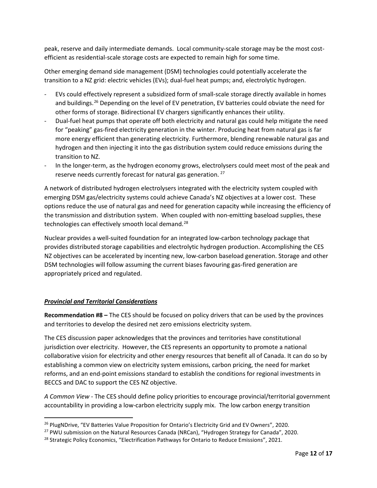peak, reserve and daily intermediate demands. Local community-scale storage may be the most costefficient as residential-scale storage costs are expected to remain high for some time.

Other emerging demand side management (DSM) technologies could potentially accelerate the transition to a NZ grid: electric vehicles (EVs); dual-fuel heat pumps; and, electrolytic hydrogen.

- EVs could effectively represent a subsidized form of small-scale storage directly available in homes and buildings.<sup>[26](#page-12-0)</sup> Depending on the level of EV penetration, EV batteries could obviate the need for other forms of storage. Bidirectional EV chargers significantly enhances their utility.
- Dual-fuel heat pumps that operate off both electricity and natural gas could help mitigate the need for "peaking" gas-fired electricity generation in the winter. Producing heat from natural gas is far more energy efficient than generating electricity. Furthermore, blending renewable natural gas and hydrogen and then injecting it into the gas distribution system could reduce emissions during the transition to NZ.
- In the longer-term, as the hydrogen economy grows, electrolysers could meet most of the peak and reserve needs currently forecast for natural gas generation.<sup>[27](#page-12-1)</sup>

A network of distributed hydrogen electrolysers integrated with the electricity system coupled with emerging DSM gas/electricity systems could achieve Canada's NZ objectives at a lower cost. These options reduce the use of natural gas and need for generation capacity while increasing the efficiency of the transmission and distribution system. When coupled with non-emitting baseload supplies, these technologies can effectively smooth local demand.<sup>[28](#page-12-2)</sup>

Nuclear provides a well-suited foundation for an integrated low-carbon technology package that provides distributed storage capabilities and electrolytic hydrogen production. Accomplishing the CES NZ objectives can be accelerated by incenting new, low-carbon baseload generation. Storage and other DSM technologies will follow assuming the current biases favouring gas-fired generation are appropriately priced and regulated.

## *Provincial and Territorial Considerations*

**Recommendation #8 –** The CES should be focused on policy drivers that can be used by the provinces and territories to develop the desired net zero emissions electricity system.

The CES discussion paper acknowledges that the provinces and territories have constitutional jurisdiction over electricity. However, the CES represents an opportunity to promote a national collaborative vision for electricity and other energy resources that benefit all of Canada. It can do so by establishing a common view on electricity system emissions, carbon pricing, the need for market reforms, and an end-point emissions standard to establish the conditions for regional investments in BECCS and DAC to support the CES NZ objective.

*A Common View* - The CES should define policy priorities to encourage provincial/territorial government accountability in providing a low-carbon electricity supply mix. The low carbon energy transition

<span id="page-12-0"></span><sup>&</sup>lt;sup>26</sup> PlugNDrive, "EV Batteries Value Proposition for Ontario's Electricity Grid and EV Owners", 2020.

<span id="page-12-1"></span><sup>&</sup>lt;sup>27</sup> PWU submission on the Natural Resources Canada (NRCan), "Hydrogen Strategy for Canada", 2020.

<span id="page-12-2"></span><sup>&</sup>lt;sup>28</sup> Strategic Policy Economics, "Electrification Pathways for Ontario to Reduce Emissions", 2021.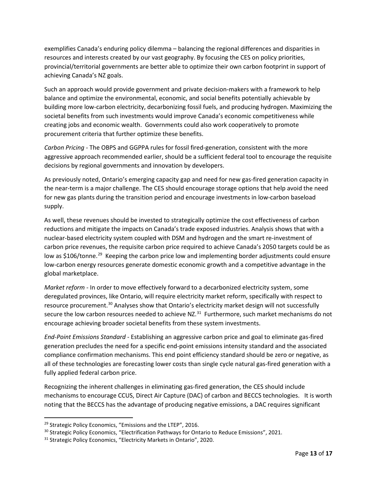exemplifies Canada's enduring policy dilemma – balancing the regional differences and disparities in resources and interests created by our vast geography. By focusing the CES on policy priorities, provincial/territorial governments are better able to optimize their own carbon footprint in support of achieving Canada's NZ goals.

Such an approach would provide government and private decision-makers with a framework to help balance and optimize the environmental, economic, and social benefits potentially achievable by building more low-carbon electricity, decarbonizing fossil fuels, and producing hydrogen. Maximizing the societal benefits from such investments would improve Canada's economic competitiveness while creating jobs and economic wealth. Governments could also work cooperatively to promote procurement criteria that further optimize these benefits.

*Carbon Pricing -* The OBPS and GGPPA rules for fossil fired-generation, consistent with the more aggressive approach recommended earlier, should be a sufficient federal tool to encourage the requisite decisions by regional governments and innovation by developers.

As previously noted, Ontario's emerging capacity gap and need for new gas-fired generation capacity in the near-term is a major challenge. The CES should encourage storage options that help avoid the need for new gas plants during the transition period and encourage investments in low-carbon baseload supply.

As well, these revenues should be invested to strategically optimize the cost effectiveness of carbon reductions and mitigate the impacts on Canada's trade exposed industries. Analysis shows that with a nuclear-based electricity system coupled with DSM and hydrogen and the smart re-investment of carbon price revenues, the requisite carbon price required to achieve Canada's 2050 targets could be as low as \$106/tonne.<sup>[29](#page-13-0)</sup> Keeping the carbon price low and implementing border adjustments could ensure low-carbon energy resources generate domestic economic growth and a competitive advantage in the global marketplace.

*Market reform* - In order to move effectively forward to a decarbonized electricity system, some deregulated provinces, like Ontario, will require electricity market reform, specifically with respect to resource procurement.<sup>[30](#page-13-1)</sup> Analyses show that Ontario's electricity market design will not successfully secure the low carbon resources needed to achieve  $NZ$ .<sup>31</sup> Furthermore, such market mechanisms do not encourage achieving broader societal benefits from these system investments.

*End-Point Emissions Standard* - Establishing an aggressive carbon price and goal to eliminate gas-fired generation precludes the need for a specific end-point emissions intensity standard and the associated compliance confirmation mechanisms. This end point efficiency standard should be zero or negative, as all of these technologies are forecasting lower costs than single cycle natural gas-fired generation with a fully applied federal carbon price.

Recognizing the inherent challenges in eliminating gas-fired generation, the CES should include mechanisms to encourage CCUS, Direct Air Capture (DAC) of carbon and BECCS technologies. It is worth noting that the BECCS has the advantage of producing negative emissions, a DAC requires significant

<span id="page-13-0"></span><sup>&</sup>lt;sup>29</sup> Strategic Policy Economics, "Emissions and the LTEP", 2016.

<span id="page-13-1"></span><sup>&</sup>lt;sup>30</sup> Strategic Policy Economics, "Electrification Pathways for Ontario to Reduce Emissions", 2021.

<span id="page-13-2"></span><sup>&</sup>lt;sup>31</sup> Strategic Policy Economics, "Electricity Markets in Ontario", 2020.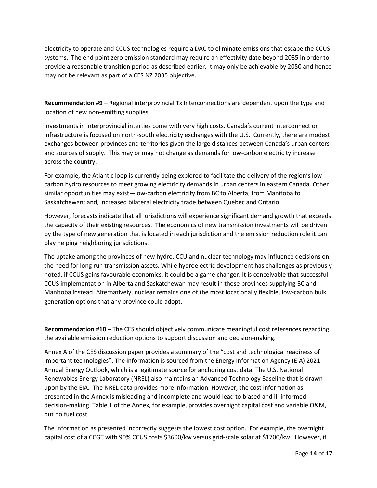electricity to operate and CCUS technologies require a DAC to eliminate emissions that escape the CCUS systems. The end point zero emission standard may require an effectivity date beyond 2035 in order to provide a reasonable transition period as described earlier. It may only be achievable by 2050 and hence may not be relevant as part of a CES NZ 2035 objective.

**Recommendation #9 –** Regional interprovincial Tx Interconnections are dependent upon the type and location of new non-emitting supplies.

Investments in interprovincial interties come with very high costs. Canada's current interconnection infrastructure is focused on north-south electricity exchanges with the U.S. Currently, there are modest exchanges between provinces and territories given the large distances between Canada's urban centers and sources of supply. This may or may not change as demands for low-carbon electricity increase across the country.

For example, the Atlantic loop is currently being explored to facilitate the delivery of the region's lowcarbon hydro resources to meet growing electricity demands in urban centers in eastern Canada. Other similar opportunities may exist—low-carbon electricity from BC to Alberta; from Manitoba to Saskatchewan; and, increased bilateral electricity trade between Quebec and Ontario.

However, forecasts indicate that all jurisdictions will experience significant demand growth that exceeds the capacity of their existing resources. The economics of new transmission investments will be driven by the type of new generation that is located in each jurisdiction and the emission reduction role it can play helping neighboring jurisdictions.

The uptake among the provinces of new hydro, CCU and nuclear technology may influence decisions on the need for long run transmission assets. While hydroelectric development has challenges as previously noted, if CCUS gains favourable economics, it could be a game changer. It is conceivable that successful CCUS implementation in Alberta and Saskatchewan may result in those provinces supplying BC and Manitoba instead. Alternatively, nuclear remains one of the most locationally flexible, low-carbon bulk generation options that any province could adopt.

**Recommendation #10 –** The CES should objectively communicate meaningful cost references regarding the available emission reduction options to support discussion and decision-making.

Annex A of the CES discussion paper provides a summary of the "cost and technological readiness of important technologies". The information is sourced from the Energy Information Agency (EIA) 2021 Annual Energy Outlook, which is a legitimate source for anchoring cost data. The U.S. National Renewables Energy Laboratory (NREL) also maintains an Advanced Technology Baseline that is drawn upon by the EIA. The NREL data provides more information. However, the cost information as presented in the Annex is misleading and incomplete and would lead to biased and ill-informed decision-making. Table 1 of the Annex, for example, provides overnight capital cost and variable O&M, but no fuel cost.

The information as presented incorrectly suggests the lowest cost option. For example, the overnight capital cost of a CCGT with 90% CCUS costs \$3600/kw versus grid-scale solar at \$1700/kw. However, if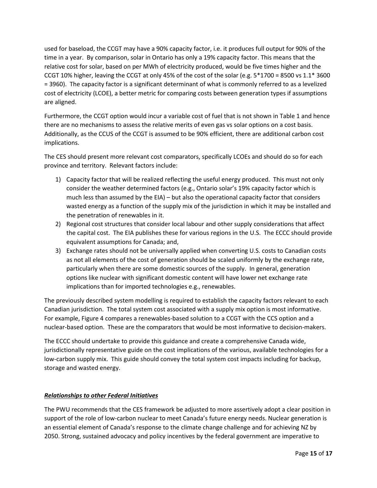used for baseload, the CCGT may have a 90% capacity factor, i.e. it produces full output for 90% of the time in a year. By comparison, solar in Ontario has only a 19% capacity factor. This means that the relative cost for solar, based on per MWh of electricity produced, would be five times higher and the CCGT 10% higher, leaving the CCGT at only 45% of the cost of the solar (e.g. 5\*1700 = 8500 vs 1.1\* 3600 = 3960). The capacity factor is a significant determinant of what is commonly referred to as a levelized cost of electricity (LCOE), a better metric for comparing costs between generation types if assumptions are aligned.

Furthermore, the CCGT option would incur a variable cost of fuel that is not shown in Table 1 and hence there are no mechanisms to assess the relative merits of even gas vs solar options on a cost basis. Additionally, as the CCUS of the CCGT is assumed to be 90% efficient, there are additional carbon cost implications.

The CES should present more relevant cost comparators, specifically LCOEs and should do so for each province and territory. Relevant factors include:

- 1) Capacity factor that will be realized reflecting the useful energy produced. This must not only consider the weather determined factors (e.g., Ontario solar's 19% capacity factor which is much less than assumed by the EIA) – but also the operational capacity factor that considers wasted energy as a function of the supply mix of the jurisdiction in which it may be installed and the penetration of renewables in it.
- 2) Regional cost structures that consider local labour and other supply considerations that affect the capital cost. The EIA publishes these for various regions in the U.S. The ECCC should provide equivalent assumptions for Canada; and,
- 3) Exchange rates should not be universally applied when converting U.S. costs to Canadian costs as not all elements of the cost of generation should be scaled uniformly by the exchange rate, particularly when there are some domestic sources of the supply. In general, generation options like nuclear with significant domestic content will have lower net exchange rate implications than for imported technologies e.g., renewables.

The previously described system modelling is required to establish the capacity factors relevant to each Canadian jurisdiction. The total system cost associated with a supply mix option is most informative. For example, Figure 4 compares a renewables-based solution to a CCGT with the CCS option and a nuclear-based option. These are the comparators that would be most informative to decision-makers.

The ECCC should undertake to provide this guidance and create a comprehensive Canada wide, jurisdictionally representative guide on the cost implications of the various, available technologies for a low-carbon supply mix. This guide should convey the total system cost impacts including for backup, storage and wasted energy.

## *Relationships to other Federal Initiatives*

The PWU recommends that the CES framework be adjusted to more assertively adopt a clear position in support of the role of low-carbon nuclear to meet Canada's future energy needs. Nuclear generation is an essential element of Canada's response to the climate change challenge and for achieving NZ by 2050. Strong, sustained advocacy and policy incentives by the federal government are imperative to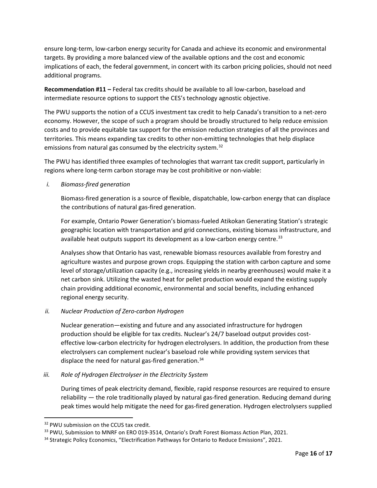ensure long-term, low-carbon energy security for Canada and achieve its economic and environmental targets. By providing a more balanced view of the available options and the cost and economic implications of each, the federal government, in concert with its carbon pricing policies, should not need additional programs.

**Recommendation #11 –** Federal tax credits should be available to all low-carbon, baseload and intermediate resource options to support the CES's technology agnostic objective.

The PWU supports the notion of a CCUS investment tax credit to help Canada's transition to a net-zero economy. However, the scope of such a program should be broadly structured to help reduce emission costs and to provide equitable tax support for the emission reduction strategies of all the provinces and territories. This means expanding tax credits to other non-emitting technologies that help displace emissions from natural gas consumed by the electricity system.<sup>[32](#page-16-0)</sup>

The PWU has identified three examples of technologies that warrant tax credit support, particularly in regions where long-term carbon storage may be cost prohibitive or non-viable:

*i. Biomass-fired generation*

Biomass-fired generation is a source of flexible, dispatchable, low-carbon energy that can displace the contributions of natural gas-fired generation.

For example, Ontario Power Generation's biomass-fueled Atikokan Generating Station's strategic geographic location with transportation and grid connections, existing biomass infrastructure, and available heat outputs support its development as a low-carbon energy centre.<sup>[33](#page-16-1)</sup>

Analyses show that Ontario has vast, renewable biomass resources available from forestry and agriculture wastes and purpose grown crops. Equipping the station with carbon capture and some level of storage/utilization capacity (e.g., increasing yields in nearby greenhouses) would make it a net carbon sink. Utilizing the wasted heat for pellet production would expand the existing supply chain providing additional economic, environmental and social benefits, including enhanced regional energy security.

## *ii. Nuclear Production of Zero-carbon Hydrogen*

Nuclear generation—existing and future and any associated infrastructure for hydrogen production should be eligible for tax credits. Nuclear's 24/7 baseload output provides costeffective low-carbon electricity for hydrogen electrolysers. In addition, the production from these electrolysers can complement nuclear's baseload role while providing system services that displace the need for natural gas-fired generation.[34](#page-16-2)

## *iii. Role of Hydrogen Electrolyser in the Electricity System*

During times of peak electricity demand, flexible, rapid response resources are required to ensure reliability — the role traditionally played by natural gas-fired generation. Reducing demand during peak times would help mitigate the need for gas-fired generation. Hydrogen electrolysers supplied

<span id="page-16-0"></span><sup>&</sup>lt;sup>32</sup> PWU submission on the CCUS tax credit.

<span id="page-16-1"></span><sup>&</sup>lt;sup>33</sup> PWU, Submission to MNRF on ERO 019-3514, Ontario's Draft Forest Biomass Action Plan, 2021.

<span id="page-16-2"></span><sup>&</sup>lt;sup>34</sup> Strategic Policy Economics, "Electrification Pathways for Ontario to Reduce Emissions", 2021.